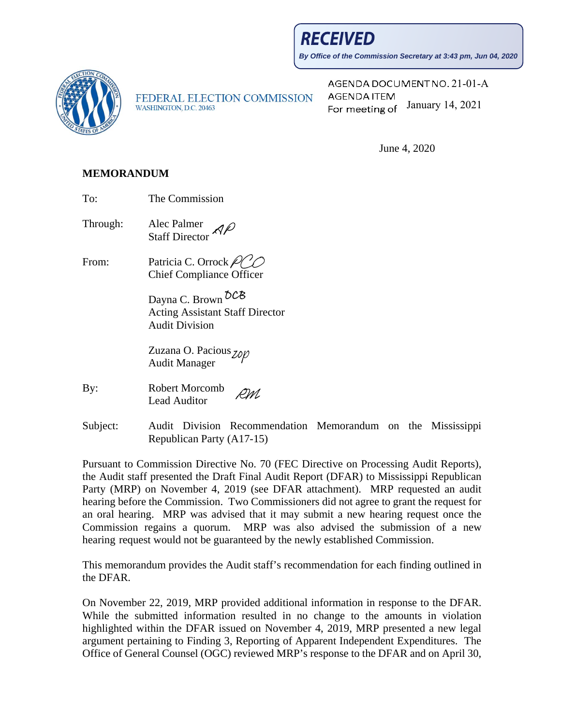**RECEIVED** 

**By Office of the Commission Secretary at 3:43 pm, Jun 04, 2020**



FEDERAL ELECTION COMMISSION WASHINGTON, D.C. 20463

AGENDA DOCUMENT NO. 21-01-A **AGENDA ITEM** For meeting of January 14, 2021

June 4, 2020

## **MEMORANDUM**

To: The Commission

Through: Alec Palmer Staff Director

From: Patricia C. Orrock  $\mathcal{P}$ Chief Compliance Officer

> Dayna C. Brown  $\delta$ CB Acting Assistant Staff Director Audit Division

Zuzana O. Pacious <sub>Zon</sub> Audit Manager

Subject: Audit Division Recommendation Memorandum on the Mississippi Republican Party (A17-15)

Pursuant to Commission Directive No. 70 (FEC Directive on Processing Audit Reports), the Audit staff presented the Draft Final Audit Report (DFAR) to Mississippi Republican Party (MRP) on November 4, 2019 (see DFAR attachment). MRP requested an audit hearing before the Commission. Two Commissioners did not agree to grant the request for an oral hearing. MRP was advised that it may submit a new hearing request once the Commission regains a quorum. MRP was also advised the submission of a new hearing request would not be guaranteed by the newly established Commission.

This memorandum provides the Audit staff's recommendation for each finding outlined in the DFAR.

On November 22, 2019, MRP provided additional information in response to the DFAR. While the submitted information resulted in no change to the amounts in violation highlighted within the DFAR issued on November 4, 2019, MRP presented a new legal argument pertaining to Finding 3, Reporting of Apparent Independent Expenditures. The Office of General Counsel (OGC) reviewed MRP's response to the DFAR and on April 30,

By: Robert Morcomb RM Lead Auditor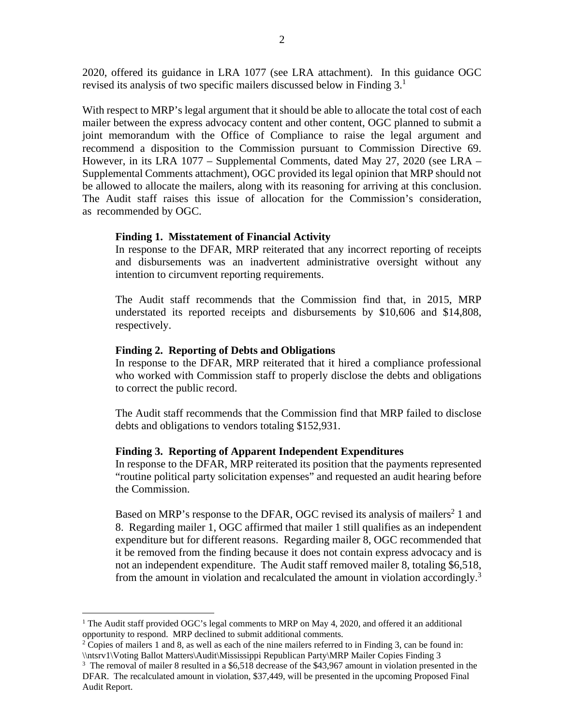2020, offered its guidance in LRA 1077 (see LRA attachment). In this guidance OGC revised its analysis of two specific mailers discussed below in Finding  $3<sup>1</sup>$ 

With respect to MRP's legal argument that it should be able to allocate the total cost of each mailer between the express advocacy content and other content, OGC planned to submit a joint memorandum with the Office of Compliance to raise the legal argument and recommend a disposition to the Commission pursuant to Commission Directive 69. However, in its LRA 1077 – Supplemental Comments, dated May 27, 2020 (see LRA – Supplemental Comments attachment), OGC provided its legal opinion that MRP should not be allowed to allocate the mailers, along with its reasoning for arriving at this conclusion. The Audit staff raises this issue of allocation for the Commission's consideration, as recommended by OGC.

#### **Finding 1. Misstatement of Financial Activity**

In response to the DFAR, MRP reiterated that any incorrect reporting of receipts and disbursements was an inadvertent administrative oversight without any intention to circumvent reporting requirements.

The Audit staff recommends that the Commission find that, in 2015, MRP understated its reported receipts and disbursements by \$10,606 and \$14,808, respectively.

#### **Finding 2. Reporting of Debts and Obligations**

In response to the DFAR, MRP reiterated that it hired a compliance professional who worked with Commission staff to properly disclose the debts and obligations to correct the public record.

The Audit staff recommends that the Commission find that MRP failed to disclose debts and obligations to vendors totaling \$152,931.

#### **Finding 3. Reporting of Apparent Independent Expenditures**

In response to the DFAR, MRP reiterated its position that the payments represented "routine political party solicitation expenses" and requested an audit hearing before the Commission.

Based on MRP's response to the DFAR, OGC revised its analysis of mailers<sup>2</sup> 1 and 8. Regarding mailer 1, OGC affirmed that mailer 1 still qualifies as an independent expenditure but for different reasons. Regarding mailer 8, OGC recommended that it be removed from the finding because it does not contain express advocacy and is not an independent expenditure. The Audit staff removed mailer 8, totaling \$6,518, from the amount in violation and recalculated the amount in violation accordingly.<sup>3</sup>

<sup>&</sup>lt;sup>1</sup> The Audit staff provided OGC's legal comments to MRP on May 4, 2020, and offered it an additional opportunity to respond. MRP declined to submit additional comments.

<sup>&</sup>lt;sup>2</sup> Copies of mailers 1 and 8, as well as each of the nine mailers referred to in Finding 3, can be found in: \\ntsrv1\Voting Ballot Matters\Audit\Mississippi Republican Party\MRP Mailer Copies Finding 3 3

<sup>&</sup>lt;sup>3</sup> The removal of mailer 8 resulted in a \$6,518 decrease of the \$43,967 amount in violation presented in the DFAR. The recalculated amount in violation, \$37,449, will be presented in the upcoming Proposed Final Audit Report.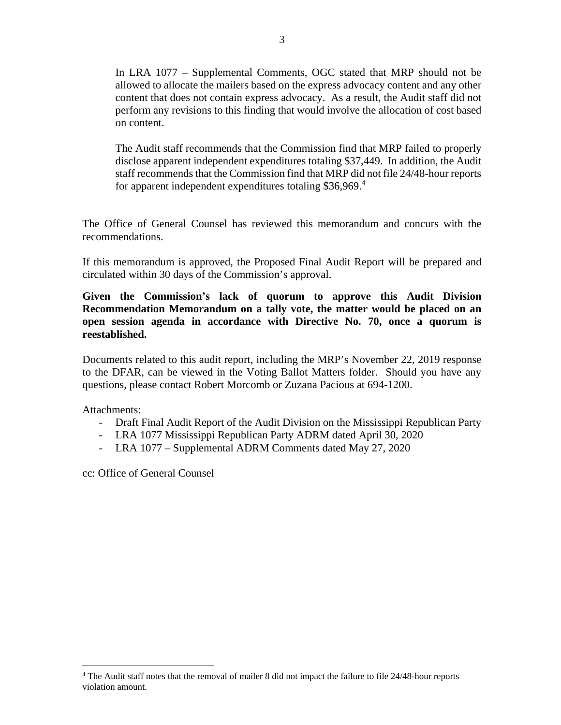In LRA 1077 – Supplemental Comments, OGC stated that MRP should not be allowed to allocate the mailers based on the express advocacy content and any other content that does not contain express advocacy. As a result, the Audit staff did not perform any revisions to this finding that would involve the allocation of cost based on content.

The Audit staff recommends that the Commission find that MRP failed to properly disclose apparent independent expenditures totaling \$37,449. In addition, the Audit staff recommends that the Commission find that MRP did not file 24/48-hour reports for apparent independent expenditures totaling \$36,969.<sup>4</sup>

The Office of General Counsel has reviewed this memorandum and concurs with the recommendations.

If this memorandum is approved, the Proposed Final Audit Report will be prepared and circulated within 30 days of the Commission's approval.

**Given the Commission's lack of quorum to approve this Audit Division Recommendation Memorandum on a tally vote, the matter would be placed on an open session agenda in accordance with Directive No. 70, once a quorum is reestablished.** 

Documents related to this audit report, including the MRP's November 22, 2019 response to the DFAR, can be viewed in the Voting Ballot Matters folder. Should you have any questions, please contact Robert Morcomb or Zuzana Pacious at 694-1200.

Attachments:

- Draft Final Audit Report of the Audit Division on the Mississippi Republican Party
- LRA 1077 Mississippi Republican Party ADRM dated April 30, 2020
- LRA 1077 Supplemental ADRM Comments dated May 27, 2020

cc: Office of General Counsel

<sup>3</sup> 

<sup>&</sup>lt;sup>4</sup> The Audit staff notes that the removal of mailer 8 did not impact the failure to file 24/48-hour reports violation amount.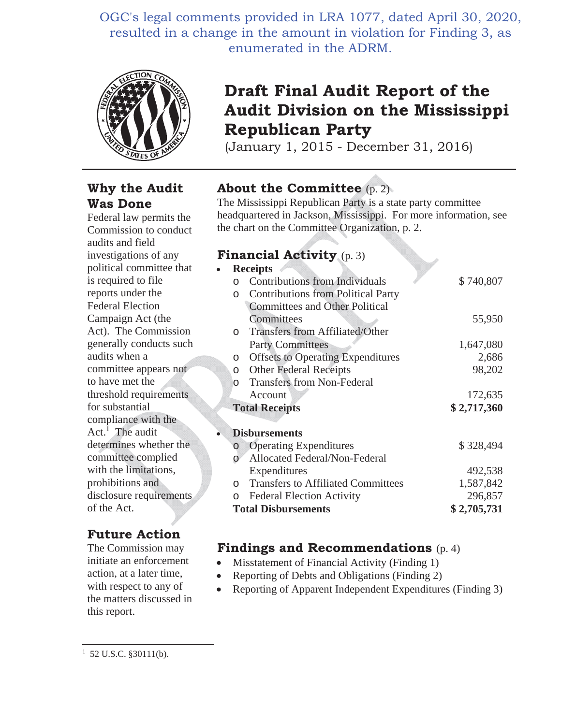OGC's legal comments provided in LRA 1077, dated April 30, 2020, resulted in a change in the amount in violation for Finding 3, as enumerated in the ADRM.



# **Why the Audit Was Done**

Federal law permits the Commission to conduct audits and field investigations of any political committee that is required to file reports under the Federal Election Campaign Act (the Act). The Commission generally conducts such audits when a committee appears not to have met the threshold requirements for substantial compliance with the Act.<sup>1</sup> The audit determines whether the committee complied with the limitations, prohibitions and disclosure requirements of the Act.

# **Future Action**

The Commission may initiate an enforcement action, at a later time, with respect to any of the matters discussed in this report.

# **Draft Final Audit Report of the Audit Division on the Mississippi Republican Party**

(January 1, 2015 - December 31, 2016)

# **About the Committee** (p. 2)

The Mississippi Republican Party is a state party committee headquartered in Jackson, Mississippi. For more information, see the chart on the Committee Organization, p. 2.

# **Financial Activity** (p. 3)

|   |          | <b>Receipts</b>                           |             |
|---|----------|-------------------------------------------|-------------|
|   |          | <b>Contributions from Individuals</b>     | \$740,807   |
|   | $\circ$  | <b>Contributions from Political Party</b> |             |
|   |          | <b>Committees and Other Political</b>     |             |
|   |          | Committees                                | 55,950      |
|   | $\Omega$ | Transfers from Affiliated/Other           |             |
|   |          | <b>Party Committees</b>                   | 1,647,080   |
|   | $\circ$  | <b>Offsets to Operating Expenditures</b>  | 2,686       |
|   | $\circ$  | <b>Other Federal Receipts</b>             | 98,202      |
|   | $\cap$   | <b>Transfers from Non-Federal</b>         |             |
|   |          | Account                                   | 172,635     |
|   |          | <b>Total Receipts</b>                     | \$2,717,360 |
|   |          |                                           |             |
| ó |          | <b>Disbursements</b>                      |             |
|   | $\circ$  | <b>Operating Expenditures</b>             | \$328,494   |
|   |          | Allocated Federal/Non-Federal             |             |
|   |          | Expenditures                              | 492,538     |
|   | $\Omega$ | <b>Transfers to Affiliated Committees</b> | 1,587,842   |
|   | $\Omega$ | <b>Federal Election Activity</b>          | 296,857     |
|   |          | <b>Total Disbursements</b>                | \$2,705,731 |

# **Findings and Recommendations** (p. 4)

- $\bullet$  Misstatement of Financial Activity (Finding 1)
- Reporting of Debts and Obligations (Finding 2)
- Reporting of Apparent Independent Expenditures (Finding 3)

 $1\,$  52 U.S.C. §30111(b).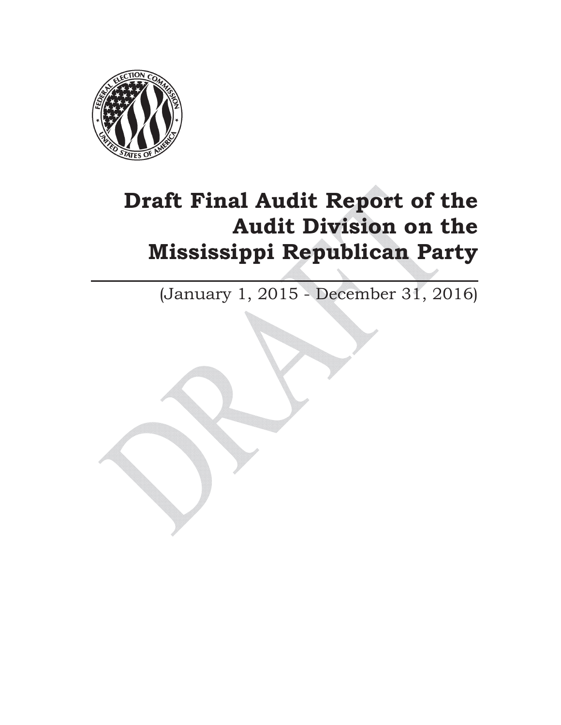

# **Draft Final Audit Report of the Audit Division on the Mississippi Republican Party**

(January 1, 2015 - December 31, 2016)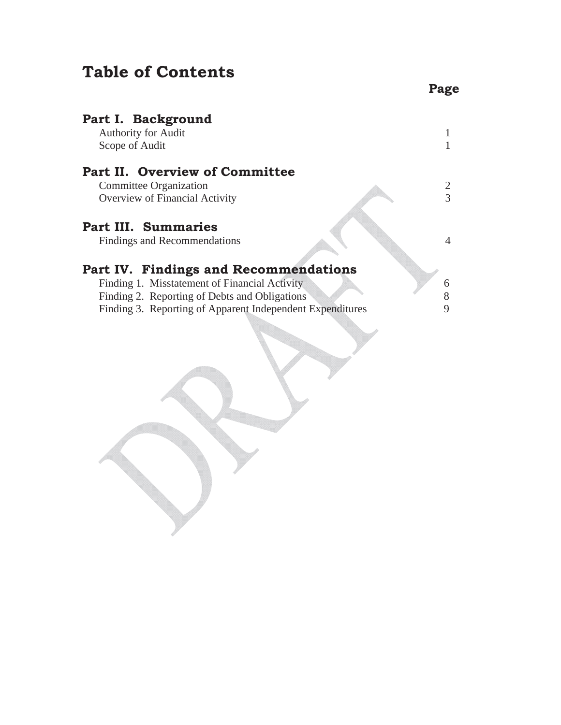# **Table of Contents**

| Part I. Background<br><b>Authority for Audit</b><br>Scope of Audit |   |
|--------------------------------------------------------------------|---|
| Part II. Overview of Committee                                     |   |
| Committee Organization                                             | 2 |
| Overview of Financial Activity                                     | 3 |
| <b>Part III. Summaries</b><br>Findings and Recommendations         | 4 |
| Part IV. Findings and Recommendations                              |   |
| Finding 1. Misstatement of Financial Activity                      | 6 |
| Finding 2. Reporting of Debts and Obligations                      |   |
| Finding 3. Reporting of Apparent Independent Expenditures          | 9 |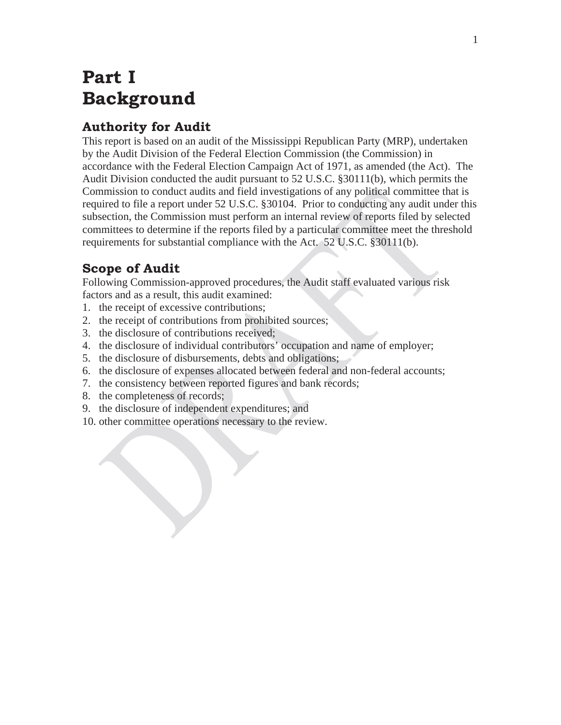# **Part I Background**

# **Authority for Audit**

This report is based on an audit of the Mississippi Republican Party (MRP), undertaken by the Audit Division of the Federal Election Commission (the Commission) in accordance with the Federal Election Campaign Act of 1971, as amended (the Act). The Audit Division conducted the audit pursuant to 52 U.S.C. §30111(b), which permits the Commission to conduct audits and field investigations of any political committee that is required to file a report under 52 U.S.C. §30104. Prior to conducting any audit under this subsection, the Commission must perform an internal review of reports filed by selected committees to determine if the reports filed by a particular committee meet the threshold requirements for substantial compliance with the Act. 52 U.S.C. §30111(b).

# **Scope of Audit**

Following Commission-approved procedures, the Audit staff evaluated various risk factors and as a result, this audit examined:

- 1. the receipt of excessive contributions;
- 2. the receipt of contributions from prohibited sources;
- 3. the disclosure of contributions received;
- 4. the disclosure of individual contributors' occupation and name of employer;
- 5. the disclosure of disbursements, debts and obligations;
- 6. the disclosure of expenses allocated between federal and non-federal accounts;
- 7. the consistency between reported figures and bank records;
- 8. the completeness of records;
- 9. the disclosure of independent expenditures; and
- 10. other committee operations necessary to the review.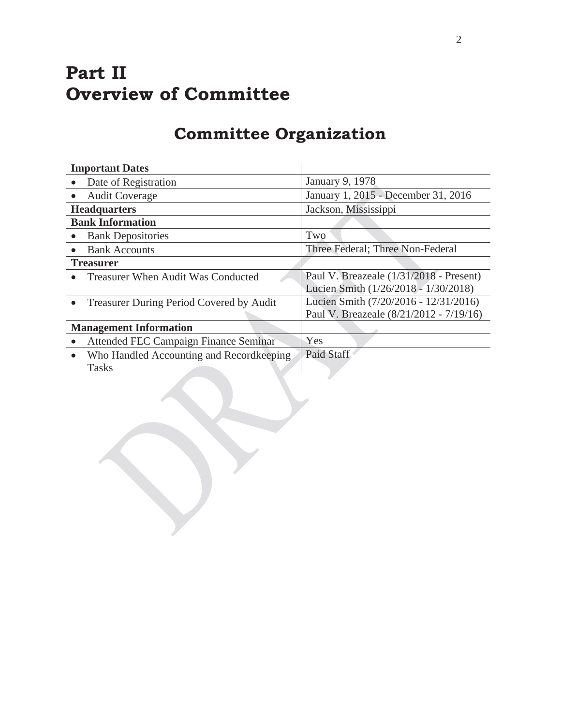# **Part II Overview of Committee**

# **Committee Organization**

| <b>Important Dates</b>        |                                           |                                         |  |
|-------------------------------|-------------------------------------------|-----------------------------------------|--|
|                               | Date of Registration                      | January 9, 1978                         |  |
|                               | <b>Audit Coverage</b>                     | January 1, 2015 - December 31, 2016     |  |
| <b>Headquarters</b>           |                                           | Jackson, Mississippi                    |  |
| <b>Bank Information</b>       |                                           |                                         |  |
|                               | <b>Bank Depositories</b>                  | Two                                     |  |
|                               | <b>Bank Accounts</b>                      | Three Federal; Three Non-Federal        |  |
| <b>Treasurer</b>              |                                           |                                         |  |
|                               | <b>Treasurer When Audit Was Conducted</b> | Paul V. Breazeale (1/31/2018 - Present) |  |
|                               |                                           | Lucien Smith (1/26/2018 - 1/30/2018)    |  |
|                               | Treasurer During Period Covered by Audit  | Lucien Smith (7/20/2016 - 12/31/2016)   |  |
|                               |                                           | Paul V. Breazeale (8/21/2012 - 7/19/16) |  |
| <b>Management Information</b> |                                           |                                         |  |
|                               | Attended FEC Campaign Finance Seminar     | Yes                                     |  |
| $\bullet$                     | Who Handled Accounting and Recordkeeping  | <b>Paid Staff</b>                       |  |
|                               | <b>Tasks</b>                              |                                         |  |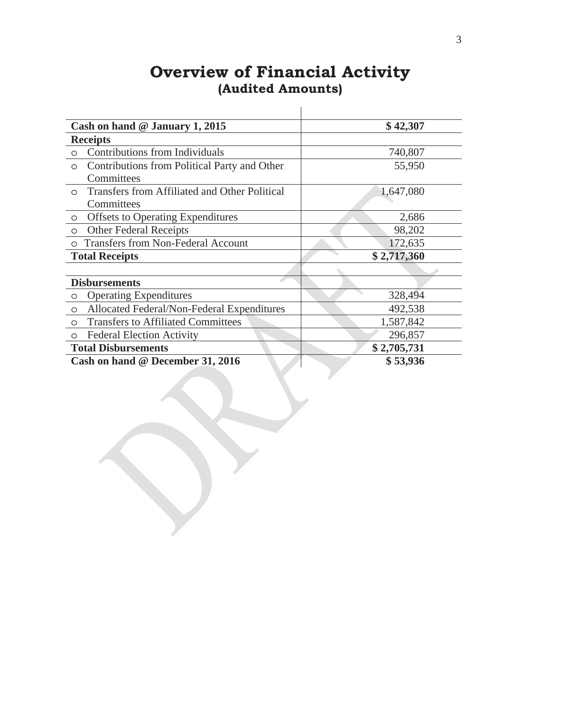# **Overview of Financial Activity (Audited Amounts)**

| Cash on hand $@$ January 1, 2015                         | \$42,307    |
|----------------------------------------------------------|-------------|
| <b>Receipts</b>                                          |             |
| Contributions from Individuals<br>$\circ$                | 740,807     |
| Contributions from Political Party and Other<br>$\circ$  | 55,950      |
| Committees                                               |             |
| Transfers from Affiliated and Other Political<br>$\circ$ | 1,647,080   |
| Committees                                               |             |
| <b>Offsets to Operating Expenditures</b><br>$\circ$      | 2,686       |
| <b>Other Federal Receipts</b><br>$\circ$                 | 98,202      |
| <b>Transfers from Non-Federal Account</b><br>$\circ$     | 172,635     |
| <b>Total Receipts</b>                                    | \$2,717,360 |
|                                                          |             |
| <b>Disbursements</b>                                     |             |
| <b>Operating Expenditures</b><br>$\circ$                 | 328,494     |
| Allocated Federal/Non-Federal Expenditures<br>$\circ$    | 492,538     |
| <b>Transfers to Affiliated Committees</b><br>$\circ$     | 1,587,842   |
| <b>Federal Election Activity</b><br>$\circ$              | 296,857     |
| <b>Total Disbursements</b>                               | \$2,705,731 |
| Cash on hand @ December 31, 2016                         | \$53,936    |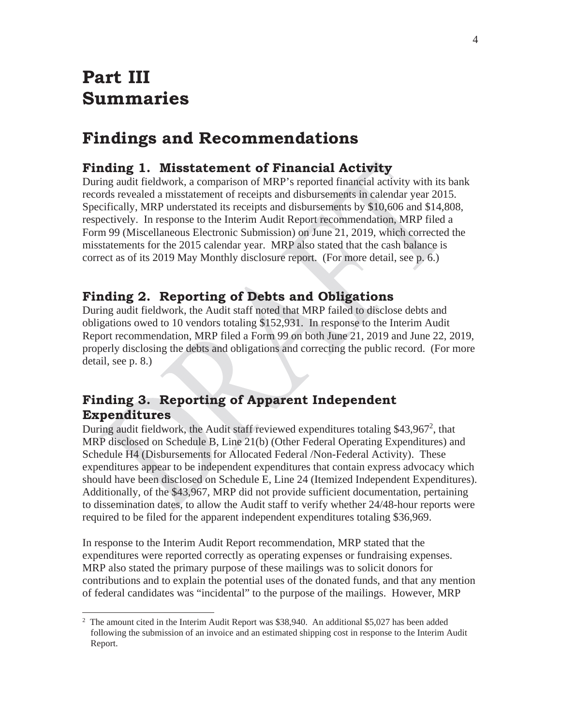# **Part III Summaries**

 $\overline{a}$ 

# **Findings and Recommendations**

# **Finding 1. Misstatement of Financial Activity**

During audit fieldwork, a comparison of MRP's reported financial activity with its bank records revealed a misstatement of receipts and disbursements in calendar year 2015. Specifically, MRP understated its receipts and disbursements by \$10,606 and \$14,808, respectively. In response to the Interim Audit Report recommendation, MRP filed a Form 99 (Miscellaneous Electronic Submission) on June 21, 2019, which corrected the misstatements for the 2015 calendar year. MRP also stated that the cash balance is correct as of its 2019 May Monthly disclosure report. (For more detail, see p. 6.)

# **Finding 2. Reporting of Debts and Obligations**

During audit fieldwork, the Audit staff noted that MRP failed to disclose debts and obligations owed to 10 vendors totaling \$152,931. In response to the Interim Audit Report recommendation, MRP filed a Form 99 on both June 21, 2019 and June 22, 2019, properly disclosing the debts and obligations and correcting the public record. (For more detail, see p. 8.)

# **Finding 3. Reporting of Apparent Independent Expenditures**

During audit fieldwork, the Audit staff reviewed expenditures totaling \$43,967<sup>2</sup>, that MRP disclosed on Schedule B, Line 21(b) (Other Federal Operating Expenditures) and Schedule H4 (Disbursements for Allocated Federal /Non-Federal Activity). These expenditures appear to be independent expenditures that contain express advocacy which should have been disclosed on Schedule E, Line 24 (Itemized Independent Expenditures). Additionally, of the \$43,967, MRP did not provide sufficient documentation, pertaining to dissemination dates, to allow the Audit staff to verify whether 24/48-hour reports were required to be filed for the apparent independent expenditures totaling \$36,969.

In response to the Interim Audit Report recommendation, MRP stated that the expenditures were reported correctly as operating expenses or fundraising expenses. MRP also stated the primary purpose of these mailings was to solicit donors for contributions and to explain the potential uses of the donated funds, and that any mention of federal candidates was "incidental" to the purpose of the mailings. However, MRP

<sup>&</sup>lt;sup>2</sup> The amount cited in the Interim Audit Report was \$38,940. An additional \$5,027 has been added following the submission of an invoice and an estimated shipping cost in response to the Interim Audit Report.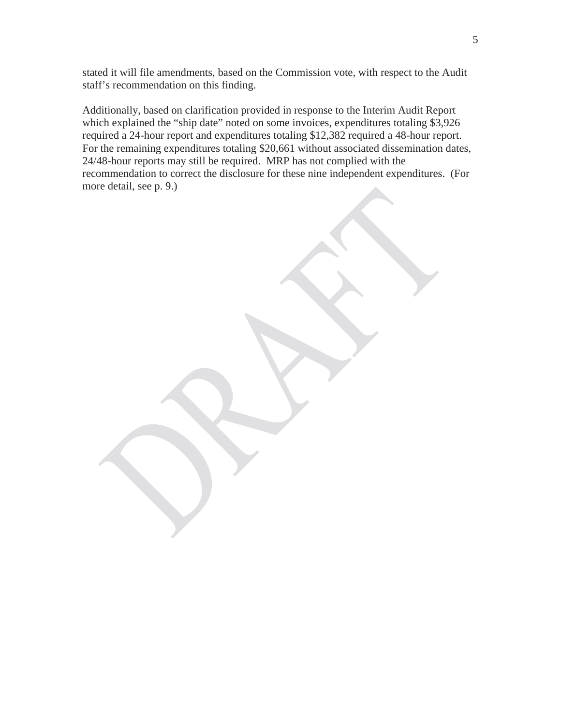stated it will file amendments, based on the Commission vote, with respect to the Audit staff's recommendation on this finding.

Additionally, based on clarification provided in response to the Interim Audit Report which explained the "ship date" noted on some invoices, expenditures totaling \$3,926 required a 24-hour report and expenditures totaling \$12,382 required a 48-hour report. For the remaining expenditures totaling \$20,661 without associated dissemination dates, 24/48-hour reports may still be required. MRP has not complied with the recommendation to correct the disclosure for these nine independent expenditures. (For more detail, see p. 9.)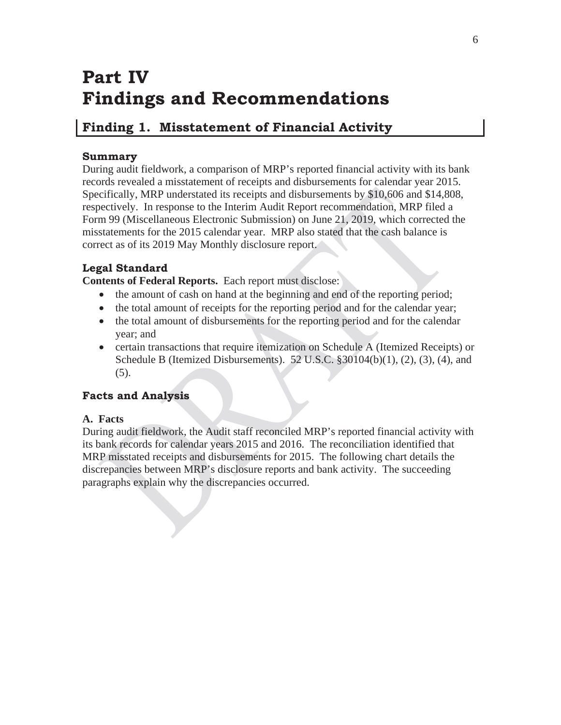# **Part IV Findings and Recommendations**

# **Finding 1. Misstatement of Financial Activity**

# **Summary**

During audit fieldwork, a comparison of MRP's reported financial activity with its bank records revealed a misstatement of receipts and disbursements for calendar year 2015. Specifically, MRP understated its receipts and disbursements by \$10,606 and \$14,808, respectively. In response to the Interim Audit Report recommendation, MRP filed a Form 99 (Miscellaneous Electronic Submission) on June 21, 2019, which corrected the misstatements for the 2015 calendar year. MRP also stated that the cash balance is correct as of its 2019 May Monthly disclosure report.

# **Legal Standard**

**Contents of Federal Reports.** Each report must disclose:

- the amount of cash on hand at the beginning and end of the reporting period;
- the total amount of receipts for the reporting period and for the calendar year;
- the total amount of disbursements for the reporting period and for the calendar year; and
- certain transactions that require itemization on Schedule A (Itemized Receipts) or Schedule B (Itemized Disbursements). 52 U.S.C.  $\S 30104(b)(1)$ , (2), (3), (4), and (5).

# **Facts and Analysis**

# **A. Facts**

During audit fieldwork, the Audit staff reconciled MRP's reported financial activity with its bank records for calendar years 2015 and 2016. The reconciliation identified that MRP misstated receipts and disbursements for 2015. The following chart details the discrepancies between MRP's disclosure reports and bank activity. The succeeding paragraphs explain why the discrepancies occurred.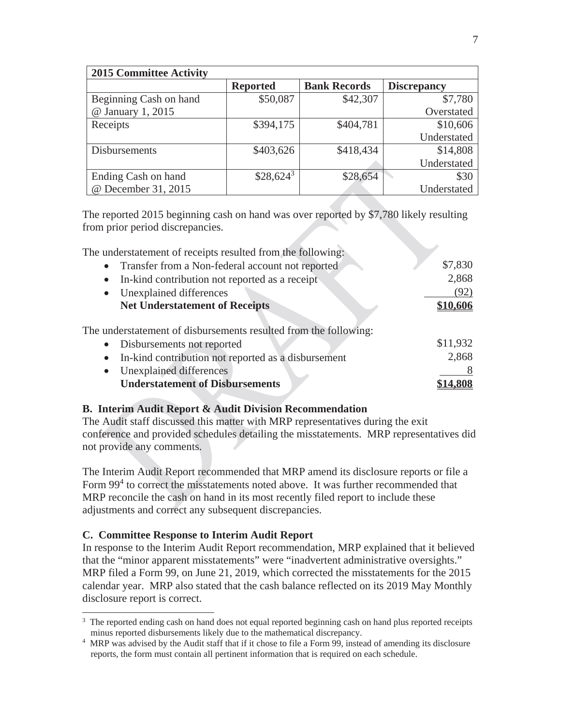| <b>2015 Committee Activity</b> |                 |                     |                    |  |  |
|--------------------------------|-----------------|---------------------|--------------------|--|--|
|                                | <b>Reported</b> | <b>Bank Records</b> | <b>Discrepancy</b> |  |  |
| Beginning Cash on hand         | \$50,087        | \$42,307            | \$7,780            |  |  |
| @ January 1, 2015              |                 |                     | Overstated         |  |  |
| Receipts                       | \$394,175       | \$404,781           | \$10,606           |  |  |
|                                |                 |                     | Understated        |  |  |
| <b>Disbursements</b>           | \$403,626       | \$418,434           | \$14,808           |  |  |
|                                |                 |                     | Understated        |  |  |
| Ending Cash on hand            | $$28,624^3$     | \$28,654            | \$30               |  |  |
| @ December 31, 2015            |                 |                     | Understated        |  |  |

The reported 2015 beginning cash on hand was over reported by \$7,780 likely resulting from prior period discrepancies.

| The understatement of receipts resulted from the following:      |          |
|------------------------------------------------------------------|----------|
| • Transfer from a Non-federal account not reported               | \$7,830  |
| In-kind contribution not reported as a receipt<br>$\bullet$      | 2,868    |
| Unexplained differences<br>$\bullet$                             | (92)     |
| <b>Net Understatement of Receipts</b>                            | \$10,606 |
| The understatement of disbursements resulted from the following: |          |
| • Disbursements not reported                                     | \$11,932 |
| In-kind contribution not reported as a disbursement<br>$\bullet$ | 2,868    |
| Unexplained differences<br>$\bullet$                             |          |
| <b>Understatement of Disbursements</b>                           | \$14,808 |

## **B. Interim Audit Report & Audit Division Recommendation**

The Audit staff discussed this matter with MRP representatives during the exit conference and provided schedules detailing the misstatements. MRP representatives did not provide any comments.

The Interim Audit Report recommended that MRP amend its disclosure reports or file a Form 99<sup>4</sup> to correct the misstatements noted above. It was further recommended that MRP reconcile the cash on hand in its most recently filed report to include these adjustments and correct any subsequent discrepancies.

## **C. Committee Response to Interim Audit Report**

 $\overline{a}$ 

In response to the Interim Audit Report recommendation, MRP explained that it believed that the "minor apparent misstatements" were "inadvertent administrative oversights." MRP filed a Form 99, on June 21, 2019, which corrected the misstatements for the 2015 calendar year. MRP also stated that the cash balance reflected on its 2019 May Monthly disclosure report is correct.

<sup>&</sup>lt;sup>3</sup> The reported ending cash on hand does not equal reported beginning cash on hand plus reported receipts minus reported disbursements likely due to the mathematical discrepancy. 4

MRP was advised by the Audit staff that if it chose to file a Form 99, instead of amending its disclosure reports, the form must contain all pertinent information that is required on each schedule.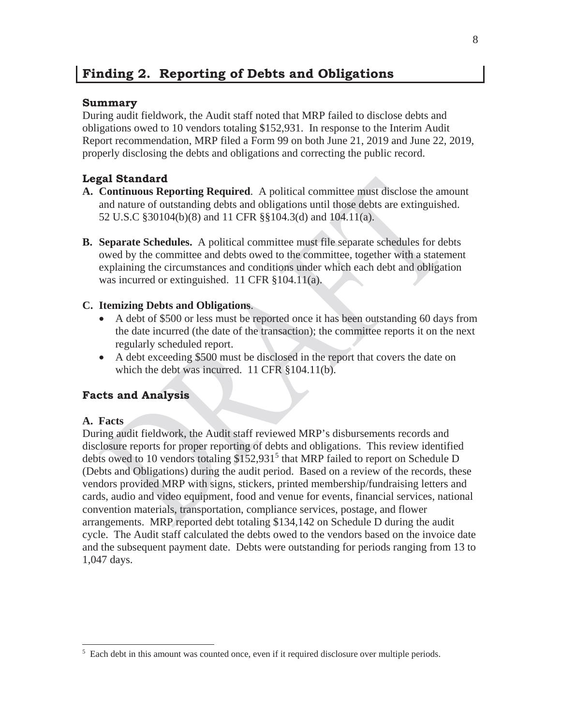# **Finding 2. Reporting of Debts and Obligations**

## **Summary**

During audit fieldwork, the Audit staff noted that MRP failed to disclose debts and obligations owed to 10 vendors totaling \$152,931. In response to the Interim Audit Report recommendation, MRP filed a Form 99 on both June 21, 2019 and June 22, 2019, properly disclosing the debts and obligations and correcting the public record.

# **Legal Standard**

- **A. Continuous Reporting Required**. A political committee must disclose the amount and nature of outstanding debts and obligations until those debts are extinguished. 52 U.S.C §30104(b)(8) and 11 CFR §§104.3(d) and 104.11(a).
- **B. Separate Schedules.** A political committee must file separate schedules for debts owed by the committee and debts owed to the committee, together with a statement explaining the circumstances and conditions under which each debt and obligation was incurred or extinguished. 11 CFR §104.11(a).

## **C. Itemizing Debts and Obligations**.

- A debt of \$500 or less must be reported once it has been outstanding 60 days from the date incurred (the date of the transaction); the committee reports it on the next regularly scheduled report.
- A debt exceeding \$500 must be disclosed in the report that covers the date on which the debt was incurred. 11 CFR §104.11(b).

## **Facts and Analysis**

## **A. Facts**

 $\overline{a}$ 

During audit fieldwork, the Audit staff reviewed MRP's disbursements records and disclosure reports for proper reporting of debts and obligations. This review identified debts owed to 10 vendors totaling \$152,931<sup>5</sup> that MRP failed to report on Schedule D (Debts and Obligations) during the audit period. Based on a review of the records, these vendors provided MRP with signs, stickers, printed membership/fundraising letters and cards, audio and video equipment, food and venue for events, financial services, national convention materials, transportation, compliance services, postage, and flower arrangements. MRP reported debt totaling \$134,142 on Schedule D during the audit cycle. The Audit staff calculated the debts owed to the vendors based on the invoice date and the subsequent payment date. Debts were outstanding for periods ranging from 13 to 1,047 days.

<sup>&</sup>lt;sup>5</sup> Each debt in this amount was counted once, even if it required disclosure over multiple periods.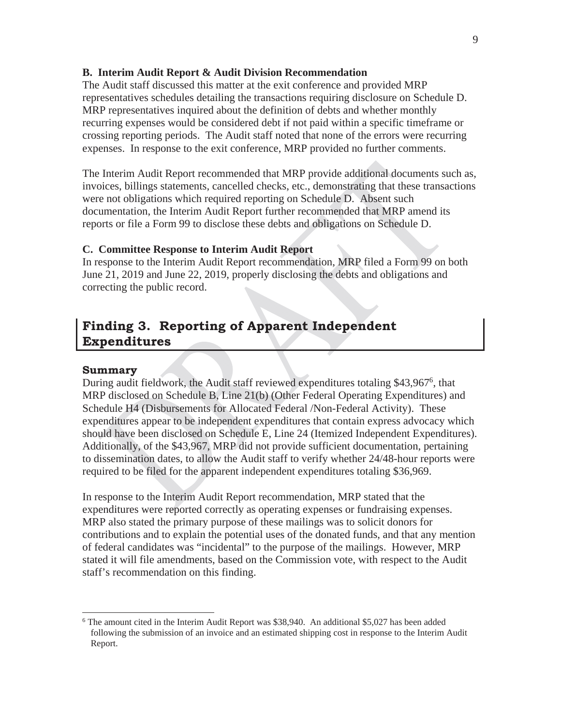#### **B. Interim Audit Report & Audit Division Recommendation**

The Audit staff discussed this matter at the exit conference and provided MRP representatives schedules detailing the transactions requiring disclosure on Schedule D. MRP representatives inquired about the definition of debts and whether monthly recurring expenses would be considered debt if not paid within a specific timeframe or crossing reporting periods. The Audit staff noted that none of the errors were recurring expenses. In response to the exit conference, MRP provided no further comments.

The Interim Audit Report recommended that MRP provide additional documents such as, invoices, billings statements, cancelled checks, etc., demonstrating that these transactions were not obligations which required reporting on Schedule D. Absent such documentation, the Interim Audit Report further recommended that MRP amend its reports or file a Form 99 to disclose these debts and obligations on Schedule D.

#### **C. Committee Response to Interim Audit Report**

In response to the Interim Audit Report recommendation, MRP filed a Form 99 on both June 21, 2019 and June 22, 2019, properly disclosing the debts and obligations and correcting the public record.

# **Finding 3. Reporting of Apparent Independent Expenditures**

#### **Summary**

 $\overline{a}$ 

During audit fieldwork, the Audit staff reviewed expenditures totaling \$43,967<sup>6</sup>, that MRP disclosed on Schedule B, Line 21(b) (Other Federal Operating Expenditures) and Schedule H4 (Disbursements for Allocated Federal /Non-Federal Activity). These expenditures appear to be independent expenditures that contain express advocacy which should have been disclosed on Schedule E, Line 24 (Itemized Independent Expenditures). Additionally, of the \$43,967, MRP did not provide sufficient documentation, pertaining to dissemination dates, to allow the Audit staff to verify whether 24/48-hour reports were required to be filed for the apparent independent expenditures totaling \$36,969.

In response to the Interim Audit Report recommendation, MRP stated that the expenditures were reported correctly as operating expenses or fundraising expenses. MRP also stated the primary purpose of these mailings was to solicit donors for contributions and to explain the potential uses of the donated funds, and that any mention of federal candidates was "incidental" to the purpose of the mailings. However, MRP stated it will file amendments, based on the Commission vote, with respect to the Audit staff's recommendation on this finding.

<sup>&</sup>lt;sup>6</sup> The amount cited in the Interim Audit Report was \$38,940. An additional \$5,027 has been added following the submission of an invoice and an estimated shipping cost in response to the Interim Audit Report.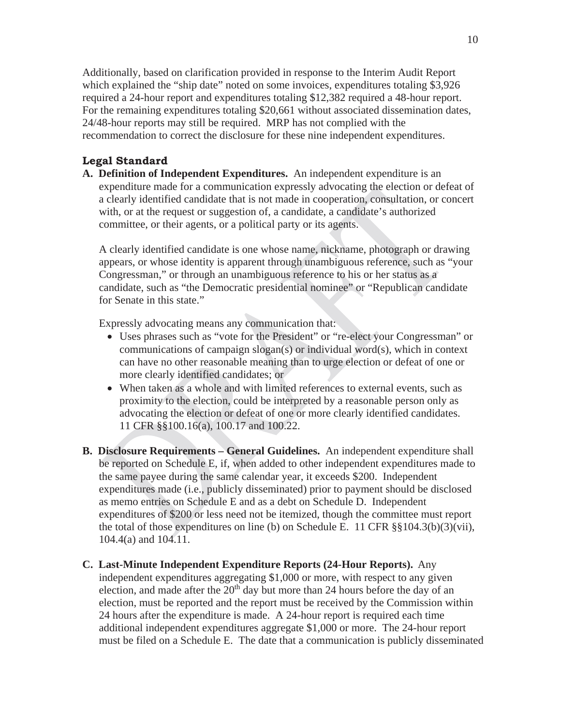Additionally, based on clarification provided in response to the Interim Audit Report which explained the "ship date" noted on some invoices, expenditures totaling \$3,926 required a 24-hour report and expenditures totaling \$12,382 required a 48-hour report. For the remaining expenditures totaling \$20,661 without associated dissemination dates, 24/48-hour reports may still be required. MRP has not complied with the recommendation to correct the disclosure for these nine independent expenditures.

### **Legal Standard**

**A. Definition of Independent Expenditures.** An independent expenditure is an expenditure made for a communication expressly advocating the election or defeat of a clearly identified candidate that is not made in cooperation, consultation, or concert with, or at the request or suggestion of, a candidate, a candidate's authorized committee, or their agents, or a political party or its agents.

A clearly identified candidate is one whose name, nickname, photograph or drawing appears, or whose identity is apparent through unambiguous reference, such as "your Congressman," or through an unambiguous reference to his or her status as a candidate, such as "the Democratic presidential nominee" or "Republican candidate for Senate in this state."

Expressly advocating means any communication that:

- Uses phrases such as "vote for the President" or "re-elect your Congressman" or communications of campaign slogan(s) or individual word(s), which in context can have no other reasonable meaning than to urge election or defeat of one or more clearly identified candidates; or
- When taken as a whole and with limited references to external events, such as proximity to the election, could be interpreted by a reasonable person only as advocating the election or defeat of one or more clearly identified candidates. 11 CFR §§100.16(a), 100.17 and 100.22.
- **B. Disclosure Requirements General Guidelines.** An independent expenditure shall be reported on Schedule E, if, when added to other independent expenditures made to the same payee during the same calendar year, it exceeds \$200. Independent expenditures made (i.e., publicly disseminated) prior to payment should be disclosed as memo entries on Schedule E and as a debt on Schedule D. Independent expenditures of \$200 or less need not be itemized, though the committee must report the total of those expenditures on line (b) on Schedule E. 11 CFR §§104.3(b)(3)(vii), 104.4(a) and 104.11.
- **C. Last-Minute Independent Expenditure Reports (24-Hour Reports).** Any independent expenditures aggregating \$1,000 or more, with respect to any given election, and made after the  $20<sup>th</sup>$  day but more than 24 hours before the day of an election, must be reported and the report must be received by the Commission within 24 hours after the expenditure is made. A 24-hour report is required each time additional independent expenditures aggregate \$1,000 or more. The 24-hour report must be filed on a Schedule E. The date that a communication is publicly disseminated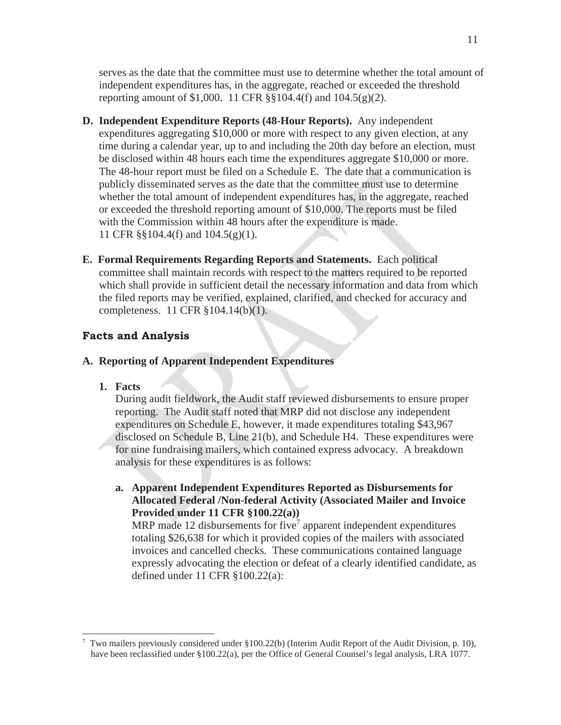serves as the date that the committee must use to determine whether the total amount of independent expenditures has, in the aggregate, reached or exceeded the threshold reporting amount of \$1,000. 11 CFR  $\S$ §104.4(f) and 104.5(g)(2).

- **D. Independent Expenditure Reports (48-Hour Reports).** Any independent expenditures aggregating \$10,000 or more with respect to any given election, at any time during a calendar year, up to and including the 20th day before an election, must be disclosed within 48 hours each time the expenditures aggregate \$10,000 or more. The 48-hour report must be filed on a Schedule E. The date that a communication is publicly disseminated serves as the date that the committee must use to determine whether the total amount of independent expenditures has, in the aggregate, reached or exceeded the threshold reporting amount of \$10,000. The reports must be filed with the Commission within 48 hours after the expenditure is made. 11 CFR §§104.4(f) and 104.5(g)(1).
- **E. Formal Requirements Regarding Reports and Statements.** Each political committee shall maintain records with respect to the matters required to be reported which shall provide in sufficient detail the necessary information and data from which the filed reports may be verified, explained, clarified, and checked for accuracy and completeness. 11 CFR §104.14(b)(1).

#### **Facts and Analysis**

### **A. Reporting of Apparent Independent Expenditures**

**1. Facts**

 $\overline{a}$ 

During audit fieldwork, the Audit staff reviewed disbursements to ensure proper reporting. The Audit staff noted that MRP did not disclose any independent expenditures on Schedule E, however, it made expenditures totaling \$43,967 disclosed on Schedule B, Line 21(b), and Schedule H4. These expenditures were for nine fundraising mailers, which contained express advocacy. A breakdown analysis for these expenditures is as follows:

**a. Apparent Independent Expenditures Reported as Disbursements for Allocated Federal /Non-federal Activity (Associated Mailer and Invoice Provided under 11 CFR §100.22(a))** 

MRP made 12 disbursements for five<sup>7</sup> apparent independent expenditures totaling \$26,638 for which it provided copies of the mailers with associated invoices and cancelled checks. These communications contained language expressly advocating the election or defeat of a clearly identified candidate, as defined under 11 CFR §100.22(a):

<sup>&</sup>lt;sup>7</sup> Two mailers previously considered under §100.22(b) (Interim Audit Report of the Audit Division, p. 10), have been reclassified under §100.22(a), per the Office of General Counsel's legal analysis, LRA 1077.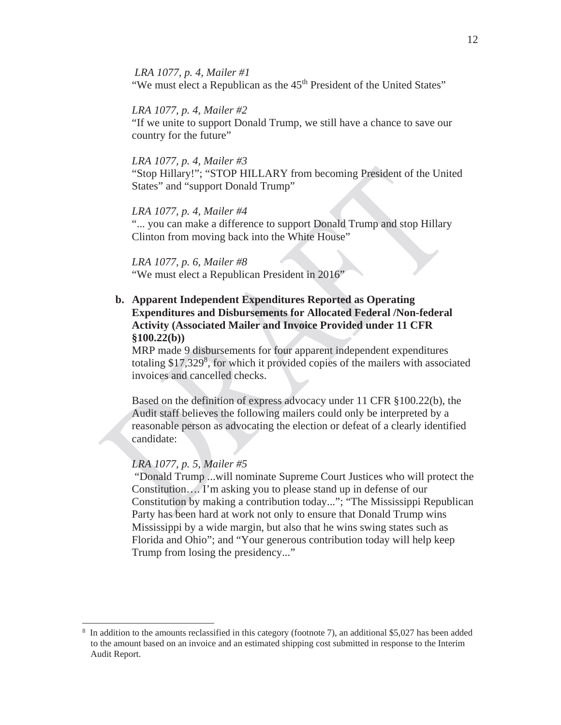*LRA 1077, p. 4, Mailer #1* "We must elect a Republican as the 45<sup>th</sup> President of the United States"

#### *LRA 1077, p. 4, Mailer #2*

"If we unite to support Donald Trump, we still have a chance to save our country for the future"

#### *LRA 1077, p. 4, Mailer #3*

"Stop Hillary!"; "STOP HILLARY from becoming President of the United States" and "support Donald Trump"

#### *LRA 1077, p. 4, Mailer #4*

"... you can make a difference to support Donald Trump and stop Hillary Clinton from moving back into the White House"

#### *LRA 1077, p. 6, Mailer #8*

"We must elect a Republican President in 2016"

## **b. Apparent Independent Expenditures Reported as Operating Expenditures and Disbursements for Allocated Federal /Non-federal Activity (Associated Mailer and Invoice Provided under 11 CFR §100.22(b))**

MRP made 9 disbursements for four apparent independent expenditures totaling \$17,329<sup>8</sup>, for which it provided copies of the mailers with associated invoices and cancelled checks.

Based on the definition of express advocacy under 11 CFR §100.22(b), the Audit staff believes the following mailers could only be interpreted by a reasonable person as advocating the election or defeat of a clearly identified candidate:

### *LRA 1077, p. 5, Mailer #5*

 $\overline{a}$ 

 "Donald Trump ...will nominate Supreme Court Justices who will protect the Constitution…. I'm asking you to please stand up in defense of our Constitution by making a contribution today..."; "The Mississippi Republican Party has been hard at work not only to ensure that Donald Trump wins Mississippi by a wide margin, but also that he wins swing states such as Florida and Ohio"; and "Your generous contribution today will help keep Trump from losing the presidency..."

<sup>&</sup>lt;sup>8</sup> In addition to the amounts reclassified in this category (footnote 7), an additional \$5,027 has been added to the amount based on an invoice and an estimated shipping cost submitted in response to the Interim Audit Report.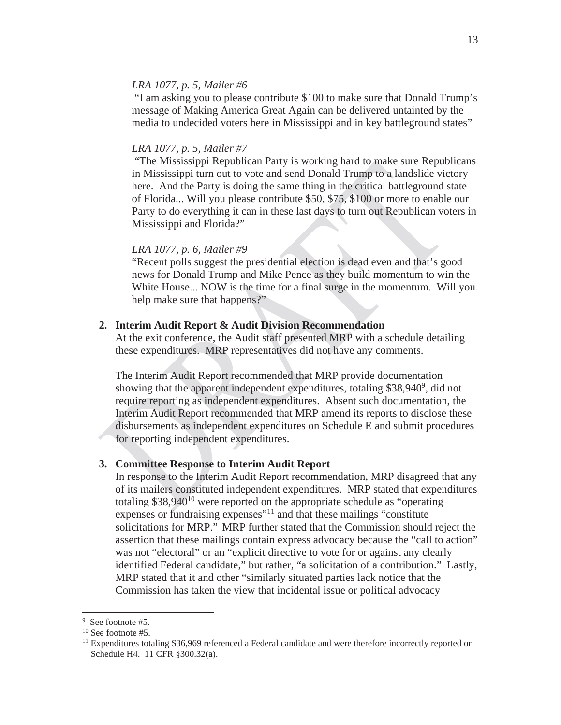### *LRA 1077, p. 5, Mailer #6*

 "I am asking you to please contribute \$100 to make sure that Donald Trump's message of Making America Great Again can be delivered untainted by the media to undecided voters here in Mississippi and in key battleground states"

#### *LRA 1077, p. 5, Mailer #7*

 "The Mississippi Republican Party is working hard to make sure Republicans in Mississippi turn out to vote and send Donald Trump to a landslide victory here. And the Party is doing the same thing in the critical battleground state of Florida... Will you please contribute \$50, \$75, \$100 or more to enable our Party to do everything it can in these last days to turn out Republican voters in Mississippi and Florida?"

#### *LRA 1077, p. 6, Mailer #9*

"Recent polls suggest the presidential election is dead even and that's good news for Donald Trump and Mike Pence as they build momentum to win the White House... NOW is the time for a final surge in the momentum. Will you help make sure that happens?"

#### **2. Interim Audit Report & Audit Division Recommendation**

At the exit conference, the Audit staff presented MRP with a schedule detailing these expenditures. MRP representatives did not have any comments.

The Interim Audit Report recommended that MRP provide documentation showing that the apparent independent expenditures, totaling \$38,940<sup>9</sup>, did not require reporting as independent expenditures. Absent such documentation, the Interim Audit Report recommended that MRP amend its reports to disclose these disbursements as independent expenditures on Schedule E and submit procedures for reporting independent expenditures.

#### **3. Committee Response to Interim Audit Report**

In response to the Interim Audit Report recommendation, MRP disagreed that any of its mailers constituted independent expenditures. MRP stated that expenditures totaling  $$38,940^{10}$  were reported on the appropriate schedule as "operating expenses or fundraising expenses<sup>"11</sup> and that these mailings "constitute" solicitations for MRP." MRP further stated that the Commission should reject the assertion that these mailings contain express advocacy because the "call to action" was not "electoral" or an "explicit directive to vote for or against any clearly identified Federal candidate," but rather, "a solicitation of a contribution." Lastly, MRP stated that it and other "similarly situated parties lack notice that the Commission has taken the view that incidental issue or political advocacy

 $\overline{a}$ 

<sup>&</sup>lt;sup>9</sup> See footnote #5.

<sup>&</sup>lt;sup>10</sup> See footnote #5.

<sup>&</sup>lt;sup>11</sup> Expenditures totaling \$36,969 referenced a Federal candidate and were therefore incorrectly reported on Schedule H4. 11 CFR §300.32(a).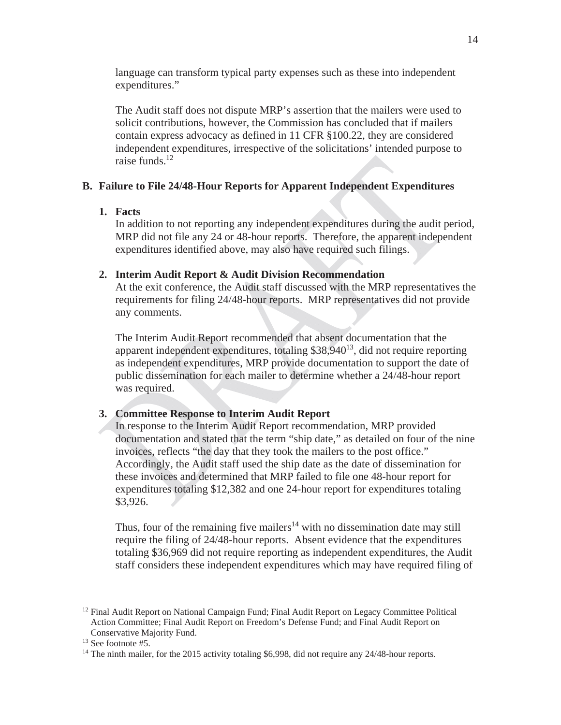language can transform typical party expenses such as these into independent expenditures."

The Audit staff does not dispute MRP's assertion that the mailers were used to solicit contributions, however, the Commission has concluded that if mailers contain express advocacy as defined in 11 CFR §100.22, they are considered independent expenditures, irrespective of the solicitations' intended purpose to raise funds. $12$ 

### **B. Failure to File 24/48-Hour Reports for Apparent Independent Expenditures**

### **1. Facts**

In addition to not reporting any independent expenditures during the audit period, MRP did not file any 24 or 48-hour reports. Therefore, the apparent independent expenditures identified above, may also have required such filings.

### **2. Interim Audit Report & Audit Division Recommendation**

At the exit conference, the Audit staff discussed with the MRP representatives the requirements for filing 24/48-hour reports. MRP representatives did not provide any comments.

The Interim Audit Report recommended that absent documentation that the apparent independent expenditures, totaling  $$38,940^{13}$ , did not require reporting as independent expenditures, MRP provide documentation to support the date of public dissemination for each mailer to determine whether a 24/48-hour report was required.

#### **3. Committee Response to Interim Audit Report**

In response to the Interim Audit Report recommendation, MRP provided documentation and stated that the term "ship date," as detailed on four of the nine invoices, reflects "the day that they took the mailers to the post office." Accordingly, the Audit staff used the ship date as the date of dissemination for these invoices and determined that MRP failed to file one 48-hour report for expenditures totaling \$12,382 and one 24-hour report for expenditures totaling \$3,926.

Thus, four of the remaining five mailers<sup>14</sup> with no dissemination date may still require the filing of 24/48-hour reports. Absent evidence that the expenditures totaling \$36,969 did not require reporting as independent expenditures, the Audit staff considers these independent expenditures which may have required filing of

 $\overline{a}$ 

<sup>&</sup>lt;sup>12</sup> Final Audit Report on National Campaign Fund; Final Audit Report on Legacy Committee Political Action Committee; Final Audit Report on Freedom's Defense Fund; and Final Audit Report on Conservative Majority Fund. 13 See footnote #5.

<sup>&</sup>lt;sup>14</sup> The ninth mailer, for the 2015 activity totaling \$6,998, did not require any 24/48-hour reports.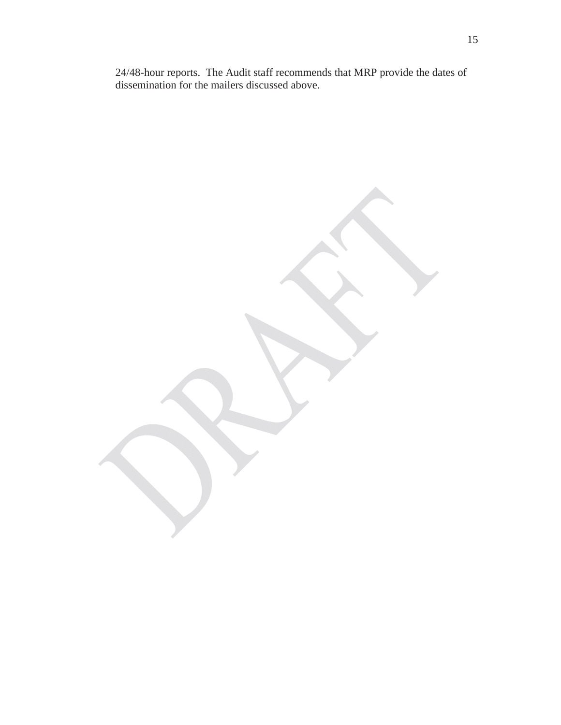24/48-hour reports. The Audit staff recommends that MRP provide the dates of dissemination for the mailers discussed above.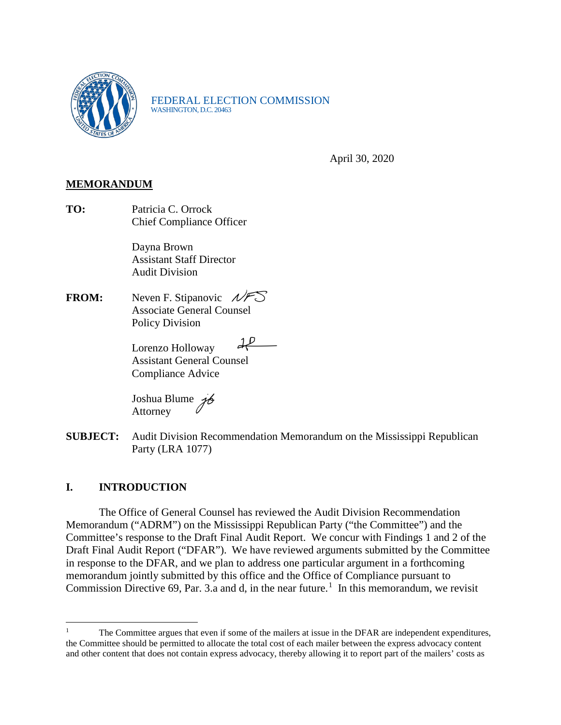

FEDERAL ELECTION COMMISSION<br>WASHINGTON, D.C. 20463

April 30, 2020

## **MEMORANDUM**

**TO:** Patricia C. Orrock Chief Compliance Officer

> Dayna Brown Assistant Staff Director Audit Division

**FROM:** Neven F. Stipanovic  $NFS'$  Associate General Counsel Policy Division

> $d^p$  Lorenzo Holloway Assistant General Counsel Compliance Advice

Joshua Blume Attorney

**SUBJECT:** Audit Division Recommendation Memorandum on the Mississippi Republican Party (LRA 1077)

## **I. INTRODUCTION**

The Office of General Counsel has reviewed the Audit Division Recommendation Memorandum ("ADRM") on the Mississippi Republican Party ("the Committee") and the Committee's response to the Draft Final Audit Report. We concur with Findings 1 and 2 of the Draft Final Audit Report ("DFAR"). We have reviewed arguments submitted by the Committee in response to the DFAR, and we plan to address one particular argument in a forthcoming memorandum jointly submitted by this office and the Office of Compliance pursuant to Commission Directive 69, Par. 3.a and d, in the near future.<sup>[1](#page-21-0)</sup> In this memorandum, we revisit

<span id="page-21-0"></span> $\overline{a}$ 1 The Committee argues that even if some of the mailers at issue in the DFAR are independent expenditures, the Committee should be permitted to allocate the total cost of each mailer between the express advocacy content and other content that does not contain express advocacy, thereby allowing it to report part of the mailers' costs as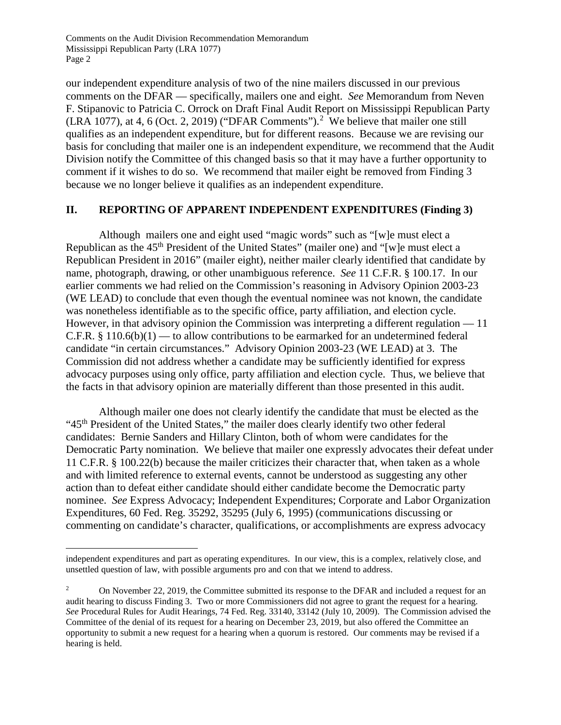Comments on the Audit Division Recommendation Memorandum Mississippi Republican Party (LRA 1077) Page 2

our independent expenditure analysis of two of the nine mailers discussed in our previous comments on the DFAR — specifically, mailers one and eight. *See* Memorandum from Neven F. Stipanovic to Patricia C. Orrock on Draft Final Audit Report on Mississippi Republican Party  $(LRA 1077)$ , at 4, 6 (Oct. [2](#page-22-0), 2019) ("DFAR Comments").<sup>2</sup> We believe that mailer one still qualifies as an independent expenditure, but for different reasons. Because we are revising our basis for concluding that mailer one is an independent expenditure, we recommend that the Audit Division notify the Committee of this changed basis so that it may have a further opportunity to comment if it wishes to do so. We recommend that mailer eight be removed from Finding 3 because we no longer believe it qualifies as an independent expenditure.

## **II. REPORTING OF APPARENT INDEPENDENT EXPENDITURES (Finding 3)**

Although mailers one and eight used "magic words" such as "[w]e must elect a Republican as the 45<sup>th</sup> President of the United States" (mailer one) and "[w]e must elect a Republican President in 2016" (mailer eight), neither mailer clearly identified that candidate by name, photograph, drawing, or other unambiguous reference. *See* 11 C.F.R. § 100.17. In our earlier comments we had relied on the Commission's reasoning in Advisory Opinion 2003-23 (WE LEAD) to conclude that even though the eventual nominee was not known, the candidate was nonetheless identifiable as to the specific office, party affiliation, and election cycle. However, in that advisory opinion the Commission was interpreting a different regulation — 11 C.F.R.  $§ 110.6(b)(1)$  — to allow contributions to be earmarked for an undetermined federal candidate "in certain circumstances." Advisory Opinion 2003-23 (WE LEAD) at 3. The Commission did not address whether a candidate may be sufficiently identified for express advocacy purposes using only office, party affiliation and election cycle. Thus, we believe that the facts in that advisory opinion are materially different than those presented in this audit.

Although mailer one does not clearly identify the candidate that must be elected as the "45<sup>th</sup> President of the United States," the mailer does clearly identify two other federal candidates: Bernie Sanders and Hillary Clinton, both of whom were candidates for the Democratic Party nomination. We believe that mailer one expressly advocates their defeat under 11 C.F.R. § 100.22(b) because the mailer criticizes their character that, when taken as a whole and with limited reference to external events, cannot be understood as suggesting any other action than to defeat either candidate should either candidate become the Democratic party nominee. *See* Express Advocacy; Independent Expenditures; Corporate and Labor Organization Expenditures, 60 Fed. Reg. 35292, 35295 (July 6, 1995) (communications discussing or commenting on candidate's character, qualifications, or accomplishments are express advocacy

 $\overline{a}$ 

independent expenditures and part as operating expenditures. In our view, this is a complex, relatively close, and unsettled question of law, with possible arguments pro and con that we intend to address.

<span id="page-22-0"></span><sup>&</sup>lt;sup>2</sup> On November 22, 2019, the Committee submitted its response to the DFAR and included a request for an audit hearing to discuss Finding 3. Two or more Commissioners did not agree to grant the request for a hearing. *See* Procedural Rules for Audit Hearings, 74 Fed. Reg. 33140, 33142 (July 10, 2009). The Commission advised the Committee of the denial of its request for a hearing on December 23, 2019, but also offered the Committee an opportunity to submit a new request for a hearing when a quorum is restored. Our comments may be revised if a hearing is held.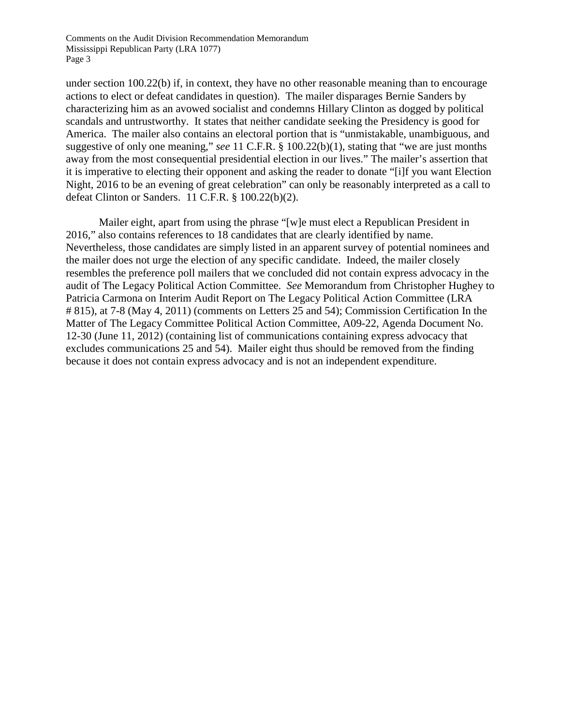Comments on the Audit Division Recommendation Memorandum Mississippi Republican Party (LRA 1077) Page 3

under section 100.22(b) if, in context, they have no other reasonable meaning than to encourage actions to elect or defeat candidates in question). The mailer disparages Bernie Sanders by characterizing him as an avowed socialist and condemns Hillary Clinton as dogged by political scandals and untrustworthy. It states that neither candidate seeking the Presidency is good for America. The mailer also contains an electoral portion that is "unmistakable, unambiguous, and suggestive of only one meaning," *see* 11 C.F.R. § 100.22(b)(1), stating that "we are just months away from the most consequential presidential election in our lives." The mailer's assertion that it is imperative to electing their opponent and asking the reader to donate "[i]f you want Election Night, 2016 to be an evening of great celebration" can only be reasonably interpreted as a call to defeat Clinton or Sanders. 11 C.F.R. § 100.22(b)(2).

Mailer eight, apart from using the phrase "[w]e must elect a Republican President in 2016," also contains references to 18 candidates that are clearly identified by name. Nevertheless, those candidates are simply listed in an apparent survey of potential nominees and the mailer does not urge the election of any specific candidate. Indeed, the mailer closely resembles the preference poll mailers that we concluded did not contain express advocacy in the audit of The Legacy Political Action Committee. *See* Memorandum from Christopher Hughey to Patricia Carmona on Interim Audit Report on The Legacy Political Action Committee (LRA # 815), at 7-8 (May 4, 2011) (comments on Letters 25 and 54); Commission Certification In the Matter of The Legacy Committee Political Action Committee, A09-22, Agenda Document No. 12-30 (June 11, 2012) (containing list of communications containing express advocacy that excludes communications 25 and 54). Mailer eight thus should be removed from the finding because it does not contain express advocacy and is not an independent expenditure.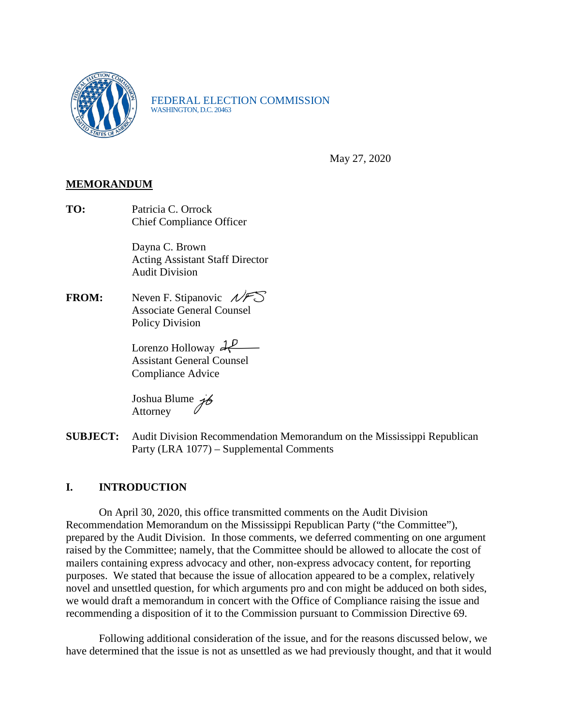

FEDERAL ELECTION COMMISSION<br>WASHINGTON, D.C. 20463

May 27, 2020

## **MEMORANDUM**

**TO:** Patricia C. Orrock Chief Compliance Officer

> Dayna C. Brown Acting Assistant Staff Director Audit Division

**FROM:** Neven F. Stipanovic  $N \rightarrow \infty$  Associate General Counsel Policy Division

> Lorenzo Holloway 22 Assistant General Counsel Compliance Advice

Joshua Blume 76 Attorney

**SUBJECT:** Audit Division Recommendation Memorandum on the Mississippi Republican Party (LRA 1077) – Supplemental Comments

## **I. INTRODUCTION**

On April 30, 2020, this office transmitted comments on the Audit Division Recommendation Memorandum on the Mississippi Republican Party ("the Committee"), prepared by the Audit Division. In those comments, we deferred commenting on one argument raised by the Committee; namely, that the Committee should be allowed to allocate the cost of mailers containing express advocacy and other, non-express advocacy content, for reporting purposes. We stated that because the issue of allocation appeared to be a complex, relatively novel and unsettled question, for which arguments pro and con might be adduced on both sides, we would draft a memorandum in concert with the Office of Compliance raising the issue and recommending a disposition of it to the Commission pursuant to Commission Directive 69.

Following additional consideration of the issue, and for the reasons discussed below, we have determined that the issue is not as unsettled as we had previously thought, and that it would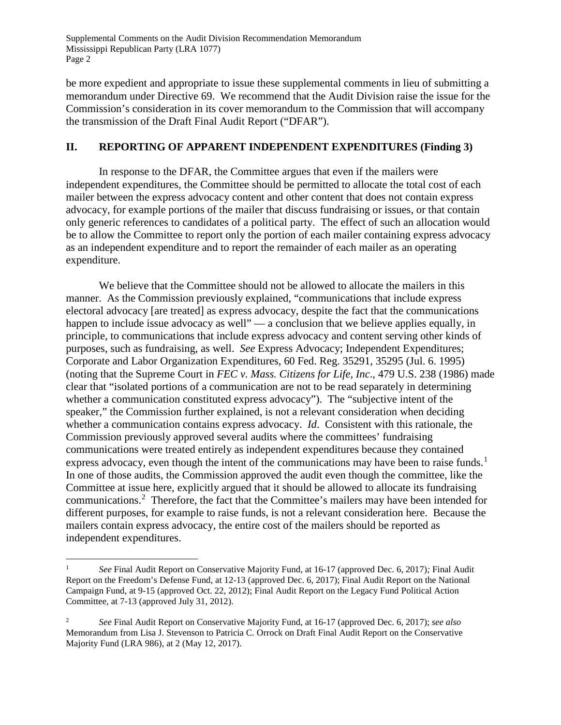Supplemental Comments on the Audit Division Recommendation Memorandum Mississippi Republican Party (LRA 1077) Page 2

be more expedient and appropriate to issue these supplemental comments in lieu of submitting a memorandum under Directive 69. We recommend that the Audit Division raise the issue for the Commission's consideration in its cover memorandum to the Commission that will accompany the transmission of the Draft Final Audit Report ("DFAR").

## **II. REPORTING OF APPARENT INDEPENDENT EXPENDITURES (Finding 3)**

In response to the DFAR, the Committee argues that even if the mailers were independent expenditures, the Committee should be permitted to allocate the total cost of each mailer between the express advocacy content and other content that does not contain express advocacy, for example portions of the mailer that discuss fundraising or issues, or that contain only generic references to candidates of a political party. The effect of such an allocation would be to allow the Committee to report only the portion of each mailer containing express advocacy as an independent expenditure and to report the remainder of each mailer as an operating expenditure.

We believe that the Committee should not be allowed to allocate the mailers in this manner. As the Commission previously explained, "communications that include express electoral advocacy [are treated] as express advocacy, despite the fact that the communications happen to include issue advocacy as well" — a conclusion that we believe applies equally, in principle, to communications that include express advocacy and content serving other kinds of purposes, such as fundraising, as well. *See* Express Advocacy; Independent Expenditures; Corporate and Labor Organization Expenditures, 60 Fed. Reg. 35291, 35295 (Jul. 6. 1995) (noting that the Supreme Court in *FEC v. Mass. Citizens for Life, Inc*., 479 U.S. 238 (1986) made clear that "isolated portions of a communication are not to be read separately in determining whether a communication constituted express advocacy"). The "subjective intent of the speaker," the Commission further explained, is not a relevant consideration when deciding whether a communication contains express advocacy. *Id*. Consistent with this rationale, the Commission previously approved several audits where the committees' fundraising communications were treated entirely as independent expenditures because they contained express advocacy, even though the intent of the communications may have been to raise funds.<sup>[1](#page-25-0)</sup> In one of those audits, the Commission approved the audit even though the committee, like the Committee at issue here, explicitly argued that it should be allowed to allocate its fundraising communications.[2](#page-25-1) Therefore, the fact that the Committee's mailers may have been intended for different purposes, for example to raise funds, is not a relevant consideration here. Because the mailers contain express advocacy, the entire cost of the mailers should be reported as independent expenditures.

<span id="page-25-0"></span> <sup>1</sup> *See* Final Audit Report on Conservative Majority Fund, at 16-17 (approved Dec. 6, 2017)*;* Final Audit Report on the Freedom's Defense Fund, at 12-13 (approved Dec. 6, 2017); Final Audit Report on the National Campaign Fund, at 9-15 (approved Oct. 22, 2012); Final Audit Report on the Legacy Fund Political Action Committee, at 7-13 (approved July 31, 2012).

<span id="page-25-1"></span><sup>2</sup> *See* Final Audit Report on Conservative Majority Fund, at 16-17 (approved Dec. 6, 2017); *see also* Memorandum from Lisa J. Stevenson to Patricia C. Orrock on Draft Final Audit Report on the Conservative Majority Fund (LRA 986), at 2 (May 12, 2017).